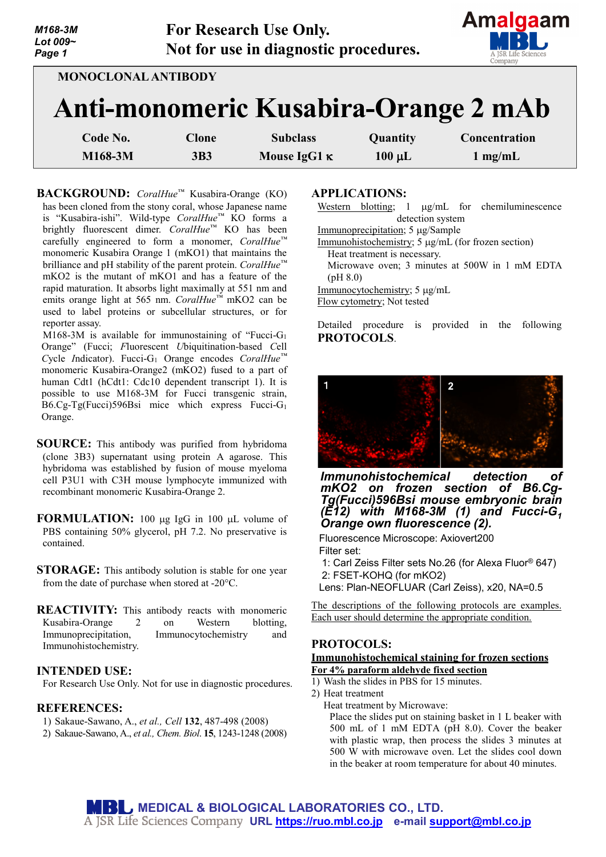| M168-3M<br>Lot 009~<br>Page 1 | <b>For Research Use Only.</b> | Not for use in diagnostic procedures. |             | Allialyddil<br>ISR Life Sciences<br>Company |
|-------------------------------|-------------------------------|---------------------------------------|-------------|---------------------------------------------|
| MONOCLONAL ANTIBODY           |                               |                                       |             | Anti-monomeric Kusabira-Orange 2 mAb        |
| Code No.                      | Clone                         | <b>Subclass</b>                       | Quantity    | Concentration                               |
| M168-3M                       | 3B3                           | Mouse IgG1 $\kappa$                   | $100 \mu L$ | $1 \text{ mg/mL}$                           |

**BACKGROUND:** *CoralHue™* Kusabira-Orange (KO) has been cloned from the stony coral, whose Japanese name is "Kusabira-ishi". Wild-type *CoralHue™* KO forms a brightly fluorescent dimer. *CoralHue™* KO has been carefully engineered to form a monomer, *CoralHue™* monomeric Kusabira Orange 1 (mKO1) that maintains the brilliance and pH stability of the parent protein. *CoralHue™* mKO2 is the mutant of mKO1 and has a feature of the rapid maturation. It absorbs light maximally at 551 nm and emits orange light at 565 nm. *CoralHue™* mKO2 can be used to label proteins or subcellular structures, or for reporter assay.

M168-3M is available for immunostaining of "Fucci-G1 Orange" (Fucci; *F*luorescent *U*biquitination-based *C*ell *C*ycle *I*ndicator). Fucci-G1 Orange encodes *CoralHue™* monomeric Kusabira-Orange2 (mKO2) fused to a part of human Cdt1 (hCdt1: Cdc10 dependent transcript 1). It is possible to use M168-3M for Fucci transgenic strain, B6.Cg-Tg(Fucci)596Bsi mice which express Fucci-G1 Orange.

- **SOURCE:** This antibody was purified from hybridoma (clone 3B3) supernatant using protein A agarose. This hybridoma was established by fusion of mouse myeloma cell P3U1 with C3H mouse lymphocyte immunized with recombinant monomeric Kusabira-Orange 2.
- **FORMULATION:** 100 µg IgG in 100 µL volume of PBS containing 50% glycerol, pH 7.2. No preservative is contained.
- **STORAGE:** This antibody solution is stable for one year from the date of purchase when stored at -20°C.
- **REACTIVITY:** This antibody reacts with monomeric Kusabira-Orange 2 on Western blotting, Immunoprecipitation, Immunocytochemistry and Immunohistochemistry.

## **INTENDED USE:**

For Research Use Only. Not for use in diagnostic procedures.

## **REFERENCES:**

- 1) Sakaue-Sawano, A., *et al., Cell* **132**, 487-498 (2008)
- 2) Sakaue-Sawano, A., *et al., Chem. Biol*. **15**, 1243-1248 (2008)

## **APPLICATIONS:**

Western blotting; 1 µg/mL for chemiluminescence detection system

Amalgaam

- Immunoprecipitation; 5 µg/Sample
- Immunohistochemistry; 5 µg/mL (for frozen section)
- Heat treatment is necessary.
- Microwave oven; 3 minutes at 500W in 1 mM EDTA (pH 8.0)
- Immunocytochemistry; 5 µg/mL

Flow cytometry; Not tested

Detailed procedure is provided in the following **PROTOCOLS**.



*Immunohistochemical detection of mKO2 on frozen section of B6.Cg- Tg(Fucci)596Bsi mouse embryonic brain (E12) with M168-3M (1) and Fucci-G1 Orange own fluorescence (2).*

Fluorescence Microscope: Axiovert200 Filter set:

- 1: Carl Zeiss Filter sets No.26 (for Alexa Fluor® 647) 2: FSET-KOHQ (for mKO2)
- Lens: Plan-NEOFLUAR (Carl Zeiss), x20, NA=0.5

The descriptions of the following protocols are examples. Each user should determine the appropriate condition.

# **PROTOCOLS:**

### **Immunohistochemical staining for frozen sections For 4% paraform aldehyde fixed section**

- 1) Wash the slides in PBS for 15 minutes.
- 2) Heat treatment

Heat treatment by Microwave: Place the slides put on staining basket in 1 L beaker with 500 mL of 1 mM EDTA (pH 8.0). Cover the beaker with plastic wrap, then process the slides 3 minutes at 500 W with microwave oven. Let the slides cool down in the beaker at room temperature for about 40 minutes.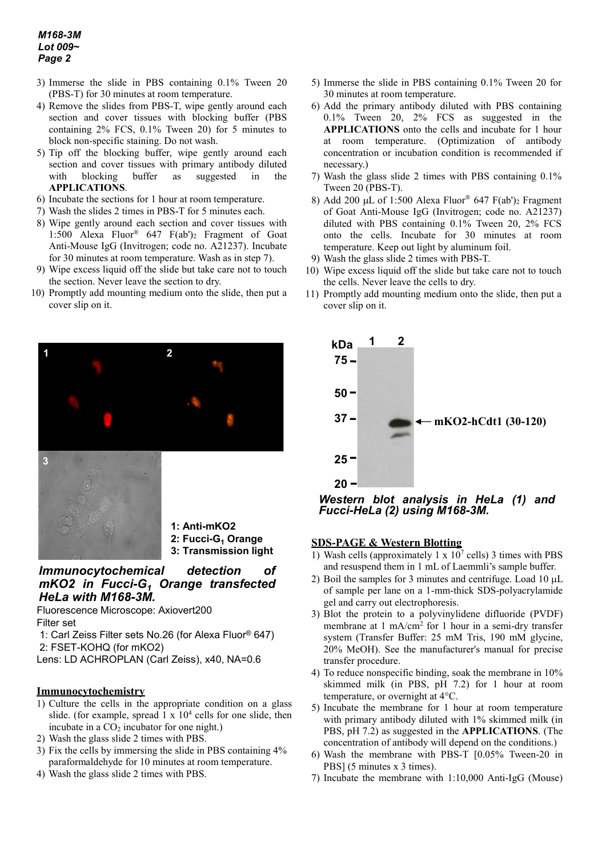- 3) Immerse the slide in PBS containing 0.1% Tween 20 (PBS-T) for 30 minutes at room temperature.
- 4) Remove the slides from PBS-T, wipe gently around each section and cover tissues with blocking buffer (PBS containing 2% FCS, 0.1% Tween 20) for 5 minutes to block non-specific staining. Do not wash.
- 5) Tip off the blocking buffer, wipe gently around each section and cover tissues with primary antibody diluted with blocking buffer as suggested in the **APPLICATIONS**.
- 6) Incubate the sections for 1 hour at room temperature.
- 7) Wash the slides 2 times in PBS-T for 5 minutes each.
- 8) Wipe gently around each section and cover tissues with 1:500 Alexa Fluor® 647 F(ab')2 Fragment of Goat Anti-Mouse IgG (Invitrogen; code no. A21237). Incubate for 30 minutes at room temperature. Wash as in step 7).
- 9) Wipe excess liquid off the slide but take care not to touch the section. Never leave the section to dry.
- 10) Promptly add mounting medium onto the slide, then put a cover slip on it.





- **1: Anti-mKO2**
- 2: Fucci-G<sub>1</sub> Orange
- **3: Transmission light**

# *Immunocytochemical detection of mKO2 in Fucci-G1 Orange transfected HeLa with M168-3M.*

Fluorescence Microscope: Axiovert200 Filter set

1: Carl Zeiss Filter sets No.26 (for Alexa Fluor® 647) 2: FSET-KOHQ (for mKO2)

Lens: LD ACHROPLAN (Carl Zeiss), x40, NA=0.6

### **Immunocytochemistry**

- 1) Culture the cells in the appropriate condition on a glass slide. (for example, spread  $1 \times 10^4$  cells for one slide, then incubate in a  $CO<sub>2</sub>$  incubator for one night.)
- 2) Wash the glass slide 2 times with PBS.
- 3) Fix the cells by immersing the slide in PBS containing 4% paraformaldehyde for 10 minutes at room temperature.
- 4) Wash the glass slide 2 times with PBS.
- 5) Immerse the slide in PBS containing 0.1% Tween 20 for 30 minutes at room temperature.
- 6) Add the primary antibody diluted with PBS containing 0.1% Tween 20, 2% FCS as suggested in the **APPLICATIONS** onto the cells and incubate for 1 hour at room temperature. (Optimization of antibody concentration or incubation condition is recommended if necessary.)
- 7) Wash the glass slide 2 times with PBS containing 0.1% Tween 20 (PBS-T).
- 8) Add 200 µL of 1:500 Alexa Fluor® 647 F(ab')<sub>2</sub> Fragment of Goat Anti-Mouse IgG (Invitrogen; code no. A21237) diluted with PBS containing 0.1% Tween 20, 2% FCS onto the cells. Incubate for 30 minutes at room temperature. Keep out light by aluminum foil.
- 9) Wash the glass slide 2 times with PBS-T.
- 10) Wipe excess liquid off the slide but take care not to touch the cells. Never leave the cells to dry.
- 11) Promptly add mounting medium onto the slide, then put a cover slip on it.



*Western blot analysis in HeLa (1) and Fucci-HeLa (2) using M168-3M.*

## **SDS-PAGE & Western Blotting**

- 1) Wash cells (approximately 1 x  $10^7$  cells) 3 times with PBS and resuspend them in 1 mL of Laemmli's sample buffer.
- 2) Boil the samples for 3 minutes and centrifuge. Load 10  $\mu$ L of sample per lane on a 1-mm-thick SDS-polyacrylamide gel and carry out electrophoresis.
- 3) Blot the protein to a polyvinylidene difluoride (PVDF) membrane at 1 mA/cm<sup>2</sup> for 1 hour in a semi-dry transfer system (Transfer Buffer: 25 mM Tris, 190 mM glycine, 20% MeOH). See the manufacturer's manual for precise transfer procedure.
- 4) To reduce nonspecific binding, soak the membrane in 10% skimmed milk (in PBS, pH 7.2) for 1 hour at room temperature, or overnight at 4°C.
- 5) Incubate the membrane for 1 hour at room temperature with primary antibody diluted with 1% skimmed milk (in PBS, pH 7.2) as suggested in the **APPLICATIONS**. (The concentration of antibody will depend on the conditions.)
- 6) Wash the membrane with PBS-T [0.05% Tween-20 in PBS] (5 minutes x 3 times).
- 7) Incubate the membrane with 1:10,000 Anti-IgG (Mouse)